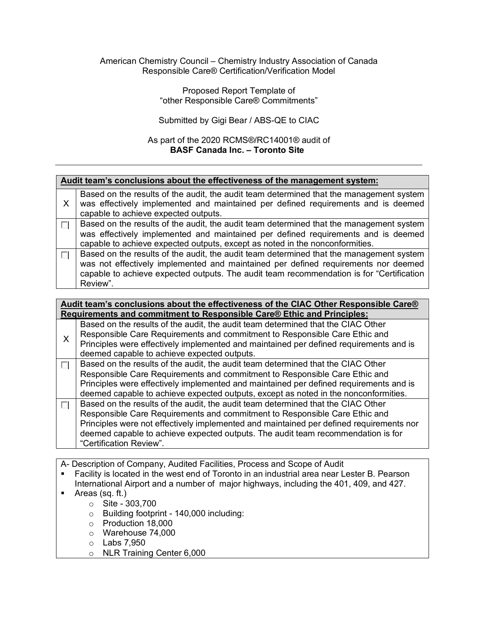## American Chemistry Council – Chemistry Industry Association of Canada Responsible Care® Certification/Verification Model

## Proposed Report Template of "other Responsible Care® Commitments"

## Submitted by Gigi Bear / ABS-QE to CIAC

## As part of the 2020 RCMS®/RC14001® audit of **BASF Canada Inc. – Toronto Site**

| Audit team's conclusions about the effectiveness of the management system:           |                                                                                                                                                                                                                                                                                                         |  |  |
|--------------------------------------------------------------------------------------|---------------------------------------------------------------------------------------------------------------------------------------------------------------------------------------------------------------------------------------------------------------------------------------------------------|--|--|
| X                                                                                    | Based on the results of the audit, the audit team determined that the management system<br>was effectively implemented and maintained per defined requirements and is deemed<br>capable to achieve expected outputs.                                                                                    |  |  |
| П                                                                                    | Based on the results of the audit, the audit team determined that the management system<br>was effectively implemented and maintained per defined requirements and is deemed<br>capable to achieve expected outputs, except as noted in the nonconformities.                                            |  |  |
| П                                                                                    | Based on the results of the audit, the audit team determined that the management system<br>was not effectively implemented and maintained per defined requirements nor deemed<br>capable to achieve expected outputs. The audit team recommendation is for "Certification"<br>Review".                  |  |  |
| Audit team's conclusions about the effectiveness of the CIAC Other Responsible Care® |                                                                                                                                                                                                                                                                                                         |  |  |
| Requirements and commitment to Responsible Care® Ethic and Principles:               |                                                                                                                                                                                                                                                                                                         |  |  |
| X                                                                                    | Based on the results of the audit, the audit team determined that the CIAC Other<br>Responsible Care Requirements and commitment to Responsible Care Ethic and<br>Principles were effectively implemented and maintained per defined requirements and is<br>deemed capable to achieve expected outputs. |  |  |

Based on the results of the audit, the audit team determined that the CIAC Other  $\overline{\mathcal{L}}$ Responsible Care Requirements and commitment to Responsible Care Ethic and Principles were effectively implemented and maintained per defined requirements and is deemed capable to achieve expected outputs, except as noted in the nonconformities.

Based on the results of the audit, the audit team determined that the CIAC Other  $\sim 10$ Responsible Care Requirements and commitment to Responsible Care Ethic and Principles were not effectively implemented and maintained per defined requirements nor deemed capable to achieve expected outputs. The audit team recommendation is for "Certification Review".

A- Description of Company, Audited Facilities, Process and Scope of Audit

- Facility is located in the west end of Toronto in an industrial area near Lester B. Pearson International Airport and a number of major highways, including the 401, 409, and 427.
- **Areas (sq. ft.)** 
	- o Site 303,700
	- $\circ$  Building footprint 140,000 including:
	- o Production 18,000
	- o Warehouse 74,000
	- o Labs 7,950
	- o NLR Training Center 6,000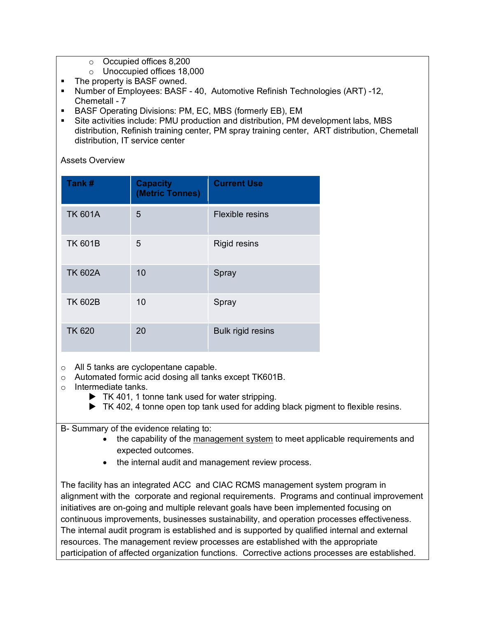- o Occupied offices 8,200
- o Unoccupied offices 18,000
- The property is BASF owned.
- Number of Employees: BASF 40, Automotive Refinish Technologies (ART) -12, Chemetall - 7
- **BASF Operating Divisions: PM, EC, MBS (formerly EB), EM**
- Site activities include: PMU production and distribution, PM development labs, MBS distribution, Refinish training center, PM spray training center, ART distribution, Chemetall distribution, IT service center

Assets Overview

| Tank#          | <b>Capacity</b><br>(Metric Tonnes) | <b>Current Use</b>       |
|----------------|------------------------------------|--------------------------|
| <b>TK 601A</b> | 5                                  | <b>Flexible resins</b>   |
| <b>TK 601B</b> | 5                                  | <b>Rigid resins</b>      |
| <b>TK 602A</b> | 10                                 | Spray                    |
| <b>TK 602B</b> | 10                                 | Spray                    |
| <b>TK 620</b>  | 20                                 | <b>Bulk rigid resins</b> |

o All 5 tanks are cyclopentane capable.

- o Automated formic acid dosing all tanks except TK601B.
- o Intermediate tanks.
	- ▶ TK 401, 1 tonne tank used for water stripping.
	- ▶ TK 402, 4 tonne open top tank used for adding black pigment to flexible resins.

B- Summary of the evidence relating to:

- the capability of the management system to meet applicable requirements and expected outcomes.
- the internal audit and management review process.

The facility has an integrated ACC and CIAC RCMS management system program in alignment with the corporate and regional requirements. Programs and continual improvement initiatives are on-going and multiple relevant goals have been implemented focusing on continuous improvements, businesses sustainability, and operation processes effectiveness. The internal audit program is established and is supported by qualified internal and external resources. The management review processes are established with the appropriate participation of affected organization functions. Corrective actions processes are established.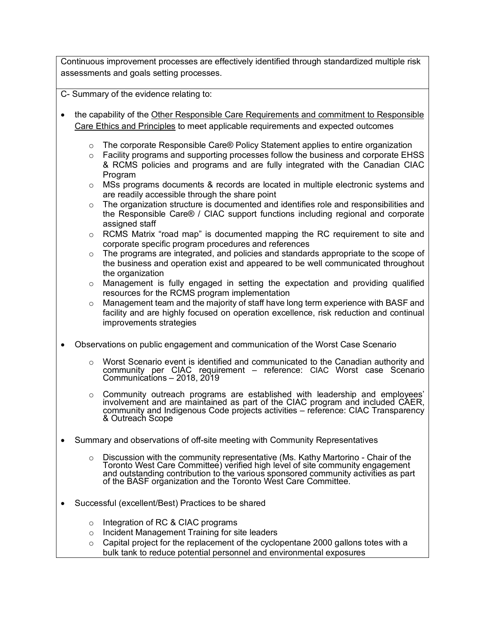Continuous improvement processes are effectively identified through standardized multiple risk assessments and goals setting processes.

C- Summary of the evidence relating to:

- the capability of the Other Responsible Care Requirements and commitment to Responsible Care Ethics and Principles to meet applicable requirements and expected outcomes
	- $\circ$  The corporate Responsible Care® Policy Statement applies to entire organization
	- $\circ$  Facility programs and supporting processes follow the business and corporate EHSS & RCMS policies and programs and are fully integrated with the Canadian CIAC Program
	- o MSs programs documents & records are located in multiple electronic systems and are readily accessible through the share point
	- $\circ$  The organization structure is documented and identifies role and responsibilities and the Responsible Care® / CIAC support functions including regional and corporate assigned staff
	- $\circ$  RCMS Matrix "road map" is documented mapping the RC requirement to site and corporate specific program procedures and references
	- o The programs are integrated, and policies and standards appropriate to the scope of the business and operation exist and appeared to be well communicated throughout the organization
	- o Management is fully engaged in setting the expectation and providing qualified resources for the RCMS program implementation
	- $\circ$  Management team and the majority of staff have long term experience with BASF and facility and are highly focused on operation excellence, risk reduction and continual improvements strategies
- Observations on public engagement and communication of the Worst Case Scenario
	- $\circ$  Worst Scenario event is identified and communicated to the Canadian authority and community per CIAC requirement – reference: CIAC Worst case Scenario Communications – 2018, 2019
	- o Community outreach programs are established with leadership and employees' involvement and are maintained as part of the CIAC program and included CAER,<br>community and Indigenous Code projects activities – reference: CIAC Transparency<br>& Outreach Scope
- Summary and observations of off-site meeting with Community Representatives
	- o Discussion with the community representative (Ms. Kathy Martorino Chair of the Toronto West Care Committee) verified high level of site community engagement and outstanding contribution to the various sponsored community activities as part of the BASF organization and the Toronto West Care Committee.
- Successful (excellent/Best) Practices to be shared
	- o Integration of RC & CIAC programs
	- o Incident Management Training for site leaders
	- $\circ$  Capital project for the replacement of the cyclopentane 2000 gallons totes with a bulk tank to reduce potential personnel and environmental exposures